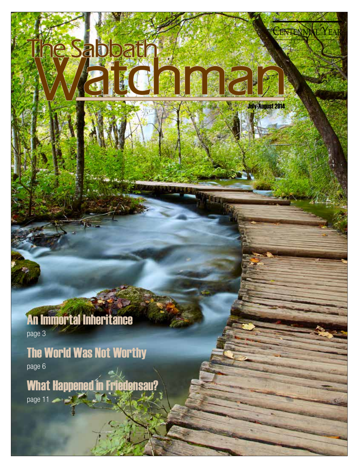## An Immortal Inheritance

le Sabbath

July-August 2014

Centennial Year

page 3

## The World Was Not Worthy

page 6

What Happened in Friedensau? page 11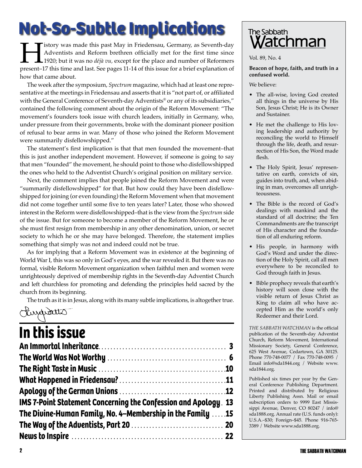## **Not-So-Subtle Implications**

**History was made this past May in Friedensau, Germany, as Seventh-day**<br>Adventists and Reform brethren officially met for the first time since<br>1920; but it was no *déjà vu*, except for the place and number of Reformers<br>pre Adventists and Reform brethren officially met for the first time since 1920; but it was no *déjà vu,* except for the place and number of Reformers present–17 this time and last. See pages 11-14 of this issue for a brief explanation of how that came about.

The week after the symposium, Spectrum magazine, which had at least one representative at the meetings in Friedensau and asserts that it is "not part of, or affiliated with the General Conference of Seventh-day Adventists® or any of its subsidiaries," contained the following comment about the origin of the Reform Movement: "The movement's founders took issue with church leaders, initially in Germany, who, under pressure from their governments, broke with the dominant pioneer position of refusal to bear arms in war. Many of those who joined the Reform Movement were summarily disfellowshipped."

The statement's first implication is that that men founded the movement–that this is just another independent movement. However, if someone is going to say that men "founded" the movement, he should point to those who disfellowshipped the ones who held to the Adventist Church's original position on military service.

Next, the comment implies that people joined the Reform Movement and were "summarily disfellowshipped" for that. But how could they have been disfellowshipped for joining (or even founding) the Reform Movement when that movement did not come together until some five to ten years later? Later, those who showed interest in the Reform were disfellowshipped–that is the view from the *Spectrum* side of the issue. But for someone to become a member of the Reform Movement, he or she must first resign from membership in any other denomination, union, or secret society to which he or she may have belonged. Therefore, the statement implies something that simply was not and indeed could not be true.

As for implying that a Reform Movement was in existence at the beginning of World War I, this was so only in God's eyes, and the war revealed it. But there was no formal, visible Reform Movement organization when faithful men and women were unrighteously deprived of membership rights in the Seventh-day Adventist Church and left churchless for promoting and defending the principles held sacred by the church from its beginning.

The truth as it is in Jesus, along with its many subtle implications, is altogether true.

### Kurdetto

## **In this issue**

| <b>IMS 7-Point Statement Concerning the Confession and Apology 13</b> |  |
|-----------------------------------------------------------------------|--|
| The Divine-Human Family, No. 4–Membership in the Family 15            |  |
|                                                                       |  |
|                                                                       |  |



Vol. 89, No. 4

**Beacon of hope, faith, and truth in a confused world.**

We believe:

- The all-wise, loving God created all things in the universe by His Son, Jesus Christ; He is its Owner and Sustainer.
- He met the challenge to His loving leadership and authority by reconciling the world to Himself through the life, death, and resurrection of His Son, the Word made flesh.
- The Holy Spirit, Jesus' representative on earth, convicts of sin, guides into truth, and, when abiding in man, overcomes all unrighteousness.
- The Bible is the record of God's dealings with mankind and the standard of all doctrine; the Ten Commandments are the transcript of His character and the foundation of all enduring reform.
- • His people, in harmony with God's Word and under the direction of the Holy Spirit, call all men everywhere to be reconciled to God through faith in Jesus.
- • Bible prophecy reveals that earth's history will soon close with the visible return of Jesus Christ as King to claim all who have accepted Him as the world's only Redeemer and their Lord.

*THE SABBATH WATCHMAN* is the official publication of the Seventh-day Adventist Church, Reform Movement, International Missionary Society, General Conference, 625 West Avenue, Cedartown, GA 30125. Phone 770-748-0077 / Fax 770-748-0095 / Email info@sda1844.org / Website www. sda1844.org.

Published six times per year by the General Conference Publishing Department. Printed and distributed by Religious Liberty Publishing Assn. Mail or email subscription orders to 9999 East Mississippi Avenue, Denver, CO 80247 / info@ sda1888.org. Annual rate (U.S. funds only): U.S.A.–\$30; Foreign–\$45. Phone 916-765- 3389 / Website www.sda1888.org.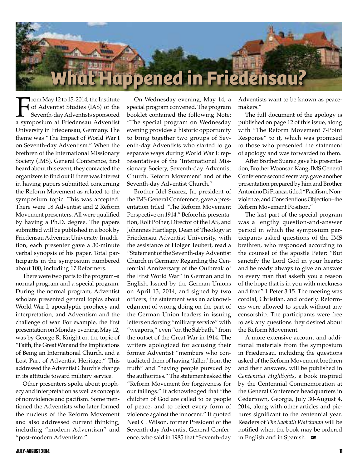

From May 12 to 15, 2014, the Institute<br>of Adventist Studies (IAS) of the<br>Seventh-day Adventists sponsored<br>a symposium at Friedensau Adventist of Adventist Studies (IAS) of the Seventh-dayAdventists sponsored a symposium at Friedensau Adventist University in Friedensau, Germany. The theme was "The Impact of World War I on Seventh-day Adventism." When the brethren of the International Missionary Society (IMS), General Conference, first heard about this event, they contacted the organizers to find out if there was interest in having papers submitted concerning the Reform Movement as related to the symposium topic. This was accepted. There were 18 Adventist and 2 Reform Movement presenters.All were qualified by having a Ph.D. degree. The papers submitted will be published in a book by Friedensau Adventist University. In addition, each presenter gave a 30-minute verbal synopsis of his paper. Total participants in the symposium numbered about 100, including 17 Reformers.

There were two parts to the program–a normal program and a special program. During the normal program, Adventist scholars presented general topics about World War I, apocalyptic prophecy and interpretation, and Adventism and the challenge of war. For example, the first presentation on Monday evening, May 12, was by George R. Knight on the topic of "Faith, the Great War and the Implications of Being an International Church, and a Lost Part of Adventist Heritage." This addressed the Adventist Church's change in its attitude toward military service.

Other presenters spoke about prophecy and interpretation as well as concepts of nonviolence and pacifism. Some mentioned the Adventists who later formed the nucleus of the Reform Movement and also addressed current thinking, including "modern Adventism" and "post-modern Adventism."

On Wednesday evening, May 14, a special program convened. The program booklet contained the following Note: "The special program on Wednesday evening provides a historic opportunity to bring together two groups of Seventh-day Adventists who started to go separate ways during World War I: representatives of the 'International Missionary Society, Seventh-day Adventist Church, Reform Movement' and of the Seventh-day Adventist Church."

Brother Idel Suarez, Jr., president of the IMS General Conference, gave a presentation titled "The Reform Movement Perspective on 1914." Before his presentation, Rolf Polher, Director of the IAS, and Johannes Hartlapp, Dean of Theology at Friedensau Adventist University, with the assistance of Holger Teubert, read a "Statement of the Seventh-day Adventist Church in Germany Regarding the Centennial Anniversary of the Outbreak of the First World War" in German and in English. Issued by the German Unions on April 13, 2014, and signed by two officers, the statement was an acknowledgment of wrong doing on the part of the German Union leaders in issuing letters endorsing "military service" with "weapons," even "on the Sabbath," from the outset of the Great War in 1914. The writers apologized for accusing their former Adventist "members who contradicted them of having 'fallen' from the truth" and "having people pursued by the authorities." The statement asked the "Reform Movement for forgiveness for our failings." It acknowledged that "the children of God are called to be people of peace, and to reject every form of violence against the innocent." It quoted Neal C. Wilson, former President of the Seventh-day Adventist General Conference, who said in 1985 that "Seventh-day Adventists want to be known as peacemakers."

The full document of the apology is published on page 12 of this issue, along with "The Reform Movement 7-Point Response" to it, which was promised to those who presented the statement of apology and was forwarded to them.

After Brother Suarez gave his presentation, Brother Woonsan Kang, IMS General Conference second secretary, gave another presentation prepared by him and Brother Antonino Di Franca, titled "Pacifism, Nonviolence, and Conscientious Objection-the Reform Movement Position."

The last part of the special program was a lengthy question-and-answer period in which the symposium participants asked questions of the IMS brethren, who responded according to the counsel of the apostle Peter: "But sanctify the Lord God in your hearts: and be ready always to give an answer to every man that asketh you a reason of the hope that is in you with meekness and fear." 1 Peter 3:15. The meeting was cordial, Christian, and orderly. Reformers were allowed to speak without any censorship. The participants were free to ask any questions they desired about the Reform Movement.

A more extensive account and additional materials from the symposium in Friedensau, including the questions asked of the Reform Movement brethren and their answers, will be published in *Centennial Highlights,* a book inspired by the Centennial Commemoration at the General Conference headquarters in Cedartown, Georgia, July 30-August 4, 2014, along with other articles and pictures significant to the centennial year. Readers of *The Sabbath Watchman* will be notified when the book may be ordered in English and in Spanish. SW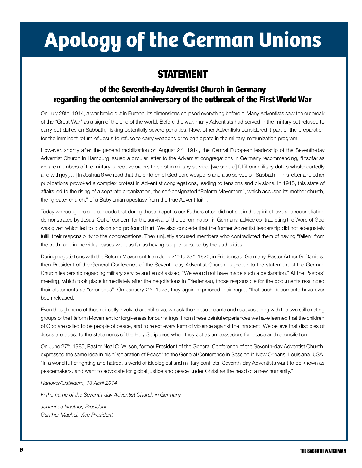# **Apology of the German Unions**

### STATEMENT

### of the Seventh-day Adventist Church in Germany regarding the centennial anniversary of the outbreak of the First World War

On July 28th, 1914, a war broke out in Europe. Its dimensions eclipsed everything before it. Many Adventists saw the outbreak of the "Great War" as a sign of the end of the world. Before the war, many Adventists had served in the military but refused to carry out duties on Sabbath, risking potentially severe penalties. Now, other Adventists considered it part of the preparation for the imminent return of Jesus to refuse to carry weapons or to participate in the military immunization program.

However, shortly after the general mobilization on August 2<sup>nd</sup>, 1914, the Central European leadership of the Seventh-day Adventist Church In Hamburg issued a circular letter to the Adventist congregations in Germany recommending, "Insofar as we are members of the military or receive orders to enlist in military service, [we should] fulfill our military duties wholeheartedly and with joy[….] ln Joshua 6 we read that the children of God bore weapons and also served on Sabbath." This letter and other publications provoked a complex protest in Adventist congregations, leading to tensions and divisions. In 1915, this state of affairs led to the rising of a separate organization, the self-designated "Reform Movement", which accused its mother church, the "greater church," of a Babylonian apostasy from the true Advent faith.

Today we recognize and concede that during these disputes our Fathers often did not act in the spirit of love and reconciliation demonstrated by Jesus. Out of concern for the survival of the denomination in Germany, advice contradicting the Word of God was given which led to division and profound hurt. We also concede that the former Adventist leadership did not adequately fulfill their responsibility to the congregations. They unjustly accused members who contradicted them of having "fallen" from the truth, and in individual cases went as far as having people pursued by the authorities.

During negotiations with the Reform Movement from June 21<sup>st</sup> to 23<sup>rd</sup>, 1920, in Friedensau, Germany, Pastor Arthur G. Daniells, then President of the General Conference of the Seventh-day Adventist Church, objected to the statement of the German Church leadership regarding military service and emphasized, "We would not have made such a declaration." At the Pastors' meeting, which took place immediately after the negotiations in Friedensau, those responsible for the documents rescinded their statements as "erroneous". On January 2<sup>nd</sup>, 1923, they again expressed their regret "that such documents have ever been released."

Even though none of those directly involved are still alive, we ask their descendants and relatives along with the two still existing groups of the Reform Movement for forgiveness for our failings. From these painful experiences we have learned that the children of God are called to be people of peace, and to reject every form of violence against the innocent. We believe that disciples of Jesus are truest to the statements of the Holy Scriptures when they act as ambassadors for peace and reconciliation.

On June 27<sup>th</sup>, 1985, Pastor Neal C. Wilson, former President of the General Conference of the Seventh-day Adventist Church, expressed the same idea in his "Declaration of Peace" to the General Conference in Session in New Orleans, Louisiana, USA. "In a world full of fighting and hatred, a world of ideological and military conflicts, Seventh-day Adventists want to be known as peacemakers, and want to advocate for global justice and peace under Christ as the head of a new humanity."

#### *Hanover/Ostfildern, 13 April 2014*

*In the name of the Seventh-day Adventist Church in Germany,* 

*Johannes Naether, President Gunther Machel, Vice President*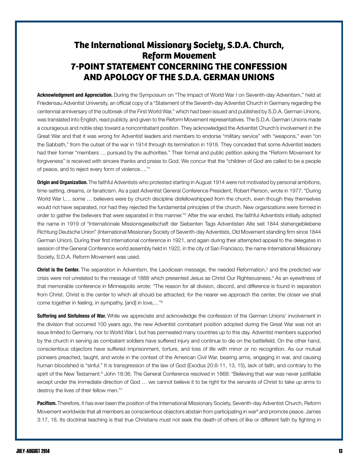### **The International Missionary Society, S.D.A. Church, Reform Movement 7-Point Statement Concerning the Confession and Apology of the S.D.A. German Unions**

Acknowledgment and Appreciation. During the Symposium on "The Impact of World War I on Seventh-day Adventism," held at Friedensau Adventist University, an official copy of a "Statement of the Seventh-day Adventist Church in Germany regarding the centennial anniversary of the outbreak of the First World War," which had been issued and published by S.D.A. German Unions, was translated into English, read publicly, and given to the Reform Movement representatives. The S.D.A. German Unions made a courageous and noble step toward a noncombatant position. They acknowledged the Adventist Church's involvement in the Great War and that it was wrong for Adventist leaders and members to endorse "military service" with "weapons," even "on the Sabbath," from the outset of the war in 1914 through its termination in 1918. They conceded that some Adventist leaders had their former "members … pursued by the authorities." Their formal and public petition asking the "Reform Movement for forgiveness" is received with sincere thanks and praise to God. We concur that the "children of God are called to be a people of peace, and to reject every form of violence…."1

Origin and Organization. The faithful Adventists who protested starting in August 1914 were not motivated by personal ambitions, time-setting, dreams, or fanaticism. As a past Adventist General Conference President, Robert Pierson, wrote in 1977: "During World War I,... some ... believers were by church discipline disfellowshipped from the church, even though they themselves would not have separated, nor had they rejected the fundamental principles of the church. New organizations were formed in order to gather the believers that were separated in this manner."<sup>2</sup> After the war ended, the faithful Adventists initially adopted the name in 1919 of "Internationale Missionsgesellschaft der Siebenten Tags Adventisten Alte seit 1844 stehengebliebene Richtung Deutsche Union" (International Missionary Society of Seventh-day Adventists, Old Movement standing firm since 1844 German Union). During their first international conference in 1921, and again during their attempted appeal to the delegates in session of the General Conference world assembly held in 1922, in the city of San Francisco, the name International Missionary Society, S.D.A. Reform Movement was used.

Christ is the Center. The separation in Adventism, the Laodicean message, the needed Reformation,<sup>3</sup> and the predicted war crisis were not unrelated to the message of 1888 which presented Jesus as Christ Our Righteousness.4 As an eyewitness of that memorable conference in Minneapolis wrote: "The reason for all division, discord, and difference is found in separation from Christ. Christ is the center to which all should be attracted; for the nearer we approach the center, the closer we shall come together in feeling, in sympathy, [and] in love,…"5

Suffering and Sinfulness of War. While we appreciate and acknowledge the confession of the German Unions' involvement in the division that occurred 100 years ago, the new Adventist combatant position adopted during the Great War was not an issue limited to Germany, nor to World War I, but has permeated many countries up to this day. Adventist members supported by the church in serving as combatant soldiers have suffered injury and continue to die on the battlefield. On the other hand, conscientious objectors have suffered imprisonment, torture, and loss of life with minor or no recognition. As our mutual pioneers preached, taught, and wrote in the context of the American Civil War, bearing arms, engaging in war, and causing human bloodshed is "sinful." It is transgression of the law of God (Exodus 20:8-11, 13, 15), lack of faith, and contrary to the spirit of the New Testament.<sup>6</sup> John 18:36. The General Conference resolved in 1868: "Believing that war was never justifiable except under the immediate direction of God … we cannot believe it to be right for the servants of Christ to take up arms to destroy the lives of their fellow men."7

Pacifism. Therefore, it has ever been the position of the International Missionary Society, Seventh-day Adventist Church, Reform Movement worldwide that all members as conscientious objectors abstain from participating in war<sup>8</sup> and promote peace. James 3:17, 18. Its doctrinal teaching is that true Christians must not seek the death of others of like or different faith by fighting in